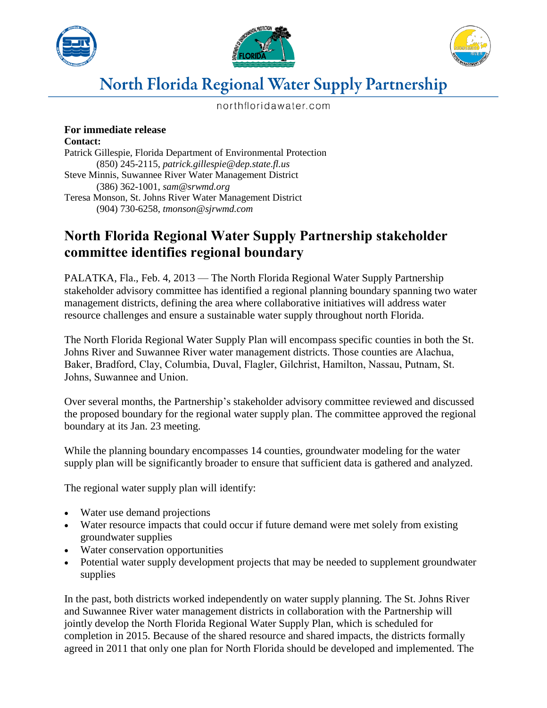





## **North Florida Regional Water Supply Partnership**

northfloridawater.com

## **For immediate release**

**Contact:** Patrick Gillespie, Florida Department of Environmental Protection (850) 245-2115, *patrick.gillespie@dep.state.fl.us* Steve Minnis, Suwannee River Water Management District (386) 362-1001, *sam@srwmd.org* Teresa Monson, St. Johns River Water Management District (904) 730-6258, *tmonson@sjrwmd.com*

## **North Florida Regional Water Supply Partnership stakeholder committee identifies regional boundary**

PALATKA, Fla., Feb. 4, 2013 — The North Florida Regional Water Supply Partnership stakeholder advisory committee has identified a regional planning boundary spanning two water management districts, defining the area where collaborative initiatives will address water resource challenges and ensure a sustainable water supply throughout north Florida.

The North Florida Regional Water Supply Plan will encompass specific counties in both the St. Johns River and Suwannee River water management districts. Those counties are Alachua, Baker, Bradford, Clay, Columbia, Duval, Flagler, Gilchrist, Hamilton, Nassau, Putnam, St. Johns, Suwannee and Union.

Over several months, the Partnership's stakeholder advisory committee reviewed and discussed the proposed boundary for the regional water supply plan. The committee approved the regional boundary at its Jan. 23 meeting.

While the planning boundary encompasses 14 counties, groundwater modeling for the water supply plan will be significantly broader to ensure that sufficient data is gathered and analyzed.

The regional water supply plan will identify:

- Water use demand projections
- Water resource impacts that could occur if future demand were met solely from existing groundwater supplies
- Water conservation opportunities
- Potential water supply development projects that may be needed to supplement groundwater supplies

In the past, both districts worked independently on water supply planning. The St. Johns River and Suwannee River water management districts in collaboration with the Partnership will jointly develop the North Florida Regional Water Supply Plan, which is scheduled for completion in 2015. Because of the shared resource and shared impacts, the districts formally agreed in 2011 that only one plan for North Florida should be developed and implemented. The